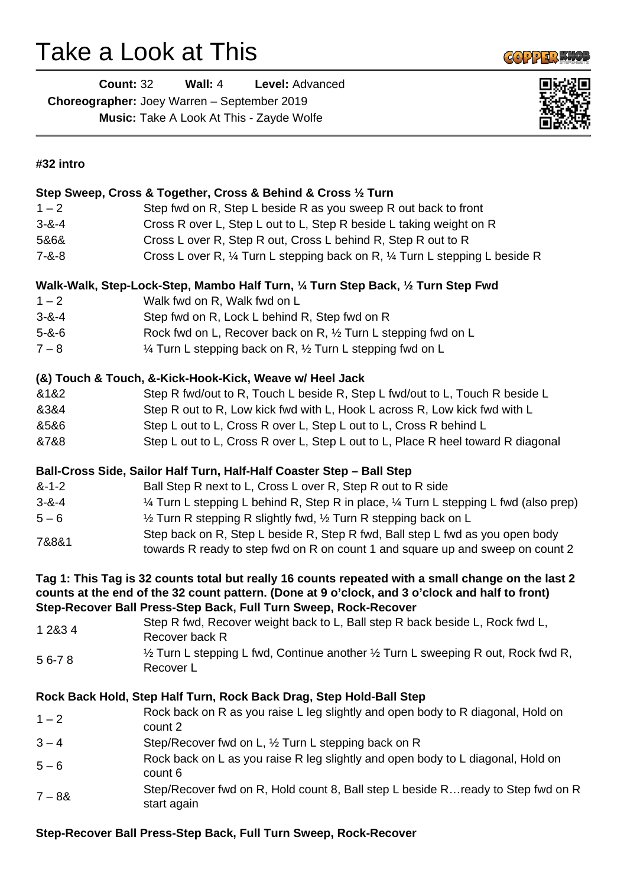# Take a Look at This



| Count: 32                                          | Wall: $4$ | Level: Advanced                                 |
|----------------------------------------------------|-----------|-------------------------------------------------|
| <b>Choreographer:</b> Joey Warren – September 2019 |           |                                                 |
|                                                    |           | <b>Music:</b> Take A Look At This - Zayde Wolfe |



## **#32 intro**

|                                                                                                                                                                                                       | Step Sweep, Cross & Together, Cross & Behind & Cross 1/2 Turn                                  |  |
|-------------------------------------------------------------------------------------------------------------------------------------------------------------------------------------------------------|------------------------------------------------------------------------------------------------|--|
| $1 - 2$                                                                                                                                                                                               | Step fwd on R, Step L beside R as you sweep R out back to front                                |  |
| $3 - 8 - 4$                                                                                                                                                                                           | Cross R over L, Step L out to L, Step R beside L taking weight on R                            |  |
| 5&6&                                                                                                                                                                                                  | Cross L over R, Step R out, Cross L behind R, Step R out to R                                  |  |
| $7 - 8 - 8$                                                                                                                                                                                           | Cross L over R, 1/4 Turn L stepping back on R, 1/4 Turn L stepping L beside R                  |  |
|                                                                                                                                                                                                       |                                                                                                |  |
| Walk-Walk, Step-Lock-Step, Mambo Half Turn, 1/4 Turn Step Back, 1/2 Turn Step Fwd                                                                                                                     |                                                                                                |  |
| $1 - 2$                                                                                                                                                                                               | Walk fwd on R, Walk fwd on L                                                                   |  |
| $3 - 8 - 4$                                                                                                                                                                                           | Step fwd on R, Lock L behind R, Step fwd on R                                                  |  |
| $5 - 8 - 6$                                                                                                                                                                                           | Rock fwd on L, Recover back on R, 1/2 Turn L stepping fwd on L                                 |  |
| $7 - 8$                                                                                                                                                                                               | 1/4 Turn L stepping back on R, 1/2 Turn L stepping fwd on L                                    |  |
| (&) Touch & Touch, &-Kick-Hook-Kick, Weave w/ Heel Jack                                                                                                                                               |                                                                                                |  |
| &1&2                                                                                                                                                                                                  | Step R fwd/out to R, Touch L beside R, Step L fwd/out to L, Touch R beside L                   |  |
| 8384                                                                                                                                                                                                  | Step R out to R, Low kick fwd with L, Hook L across R, Low kick fwd with L                     |  |
| 8586                                                                                                                                                                                                  | Step L out to L, Cross R over L, Step L out to L, Cross R behind L                             |  |
| &7&8                                                                                                                                                                                                  | Step L out to L, Cross R over L, Step L out to L, Place R heel toward R diagonal               |  |
|                                                                                                                                                                                                       |                                                                                                |  |
|                                                                                                                                                                                                       | Ball-Cross Side, Sailor Half Turn, Half-Half Coaster Step - Ball Step                          |  |
| $8 - 1 - 2$                                                                                                                                                                                           | Ball Step R next to L, Cross L over R, Step R out to R side                                    |  |
| $3 - 8 - 4$                                                                                                                                                                                           | 1⁄4 Turn L stepping L behind R, Step R in place, 1⁄4 Turn L stepping L fwd (also prep)         |  |
| $5 - 6$                                                                                                                                                                                               | 1/2 Turn R stepping R slightly fwd, 1/2 Turn R stepping back on L                              |  |
| 7&8&1                                                                                                                                                                                                 | Step back on R, Step L beside R, Step R fwd, Ball step L fwd as you open body                  |  |
|                                                                                                                                                                                                       | towards R ready to step fwd on R on count 1 and square up and sweep on count 2                 |  |
| Tag 1: This Tag is 32 counts total but really 16 counts repeated with a small change on the last 2<br>counts at the end of the 32 count pattern. (Done at 9 o'clock, and 3 o'clock and half to front) |                                                                                                |  |
|                                                                                                                                                                                                       | Step-Recover Ball Press-Step Back, Full Turn Sweep, Rock-Recover                               |  |
| 1 2 & 3 4                                                                                                                                                                                             | Step R fwd, Recover weight back to L, Ball step R back beside L, Rock fwd L,<br>Recover back R |  |
| 56-78                                                                                                                                                                                                 | 1/2 Turn L stepping L fwd, Continue another 1/2 Turn L sweeping R out, Rock fwd R,             |  |
|                                                                                                                                                                                                       | Recover L                                                                                      |  |
|                                                                                                                                                                                                       | Rock Back Hold, Step Half Turn, Rock Back Drag, Step Hold-Ball Step                            |  |
| $1 - 2$                                                                                                                                                                                               | Rock back on R as you raise L leg slightly and open body to R diagonal, Hold on<br>count 2     |  |
| $3 - 4$                                                                                                                                                                                               | Step/Recover fwd on L, 1/2 Turn L stepping back on R                                           |  |
| $5 - 6$                                                                                                                                                                                               | Rock back on L as you raise R leg slightly and open body to L diagonal, Hold on<br>count 6     |  |
| $7 - 88$                                                                                                                                                                                              | Step/Recover fwd on R, Hold count 8, Ball step L beside R ready to Step fwd on R               |  |
|                                                                                                                                                                                                       | start again                                                                                    |  |

## **Step-Recover Ball Press-Step Back, Full Turn Sweep, Rock-Recover**